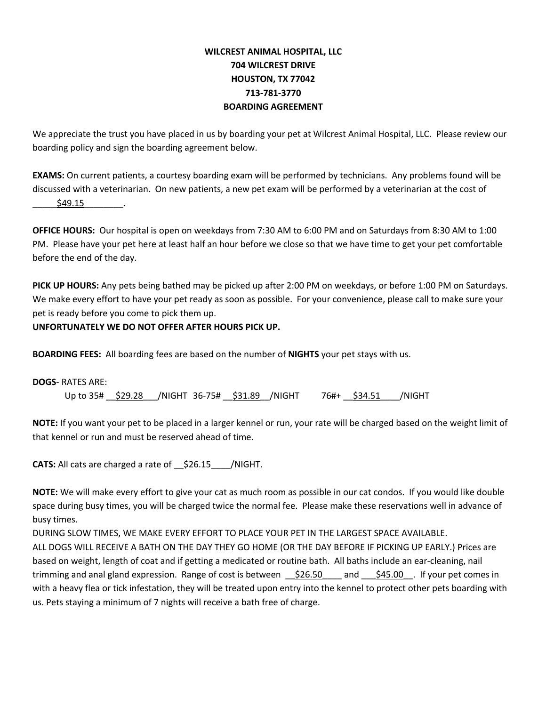### **WILCREST ANIMAL HOSPITAL, LLC 704 WILCREST DRIVE HOUSTON, TX 77042 713-781-3770 BOARDING AGREEMENT**

We appreciate the trust you have placed in us by boarding your pet at Wilcrest Animal Hospital, LLC. Please review our boarding policy and sign the boarding agreement below.

**EXAMS:** On current patients, a courtesy boarding exam will be performed by technicians. Any problems found will be discussed with a veterinarian. On new patients, a new pet exam will be performed by a veterinarian at the cost of \_\_\_\_\_\$49.15\_\_\_\_\_\_\_\_.

**OFFICE HOURS:** Our hospital is open on weekdays from 7:30 AM to 6:00 PM and on Saturdays from 8:30 AM to 1:00 PM. Please have your pet here at least half an hour before we close so that we have time to get your pet comfortable before the end of the day.

**PICK UP HOURS:** Any pets being bathed may be picked up after 2:00 PM on weekdays, or before 1:00 PM on Saturdays. We make every effort to have your pet ready as soon as possible. For your convenience, please call to make sure your pet is ready before you come to pick them up.

#### **UNFORTUNATELY WE DO NOT OFFER AFTER HOURS PICK UP.**

**BOARDING FEES:** All boarding fees are based on the number of **NIGHTS** your pet stays with us.

**DOGS**- RATES ARE: Up to 35#  $\frac{$29.28}{10.6}$  /NIGHT 36-75#  $\frac{$31.89}{10.6}$  /NIGHT 76#+  $\frac{$34.51}{10.6}$  /NIGHT

**NOTE:** If you want your pet to be placed in a larger kennel or run, your rate will be charged based on the weight limit of that kennel or run and must be reserved ahead of time.

**CATS:** All cats are charged a rate of \_\_\$26.15\_\_\_\_/NIGHT.

us. Pets staying a minimum of 7 nights will receive a bath free of charge.

**NOTE:** We will make every effort to give your cat as much room as possible in our cat condos. If you would like double space during busy times, you will be charged twice the normal fee. Please make these reservations well in advance of busy times.

DURING SLOW TIMES, WE MAKE EVERY EFFORT TO PLACE YOUR PET IN THE LARGEST SPACE AVAILABLE. ALL DOGS WILL RECEIVE A BATH ON THE DAY THEY GO HOME (OR THE DAY BEFORE IF PICKING UP EARLY.) Prices are based on weight, length of coat and if getting a medicated or routine bath. All baths include an ear-cleaning, nail trimming and anal gland expression. Range of cost is between  $\frac{1}{26.50}$  and  $\frac{1}{245.00}$ . If your pet comes in with a heavy flea or tick infestation, they will be treated upon entry into the kennel to protect other pets boarding with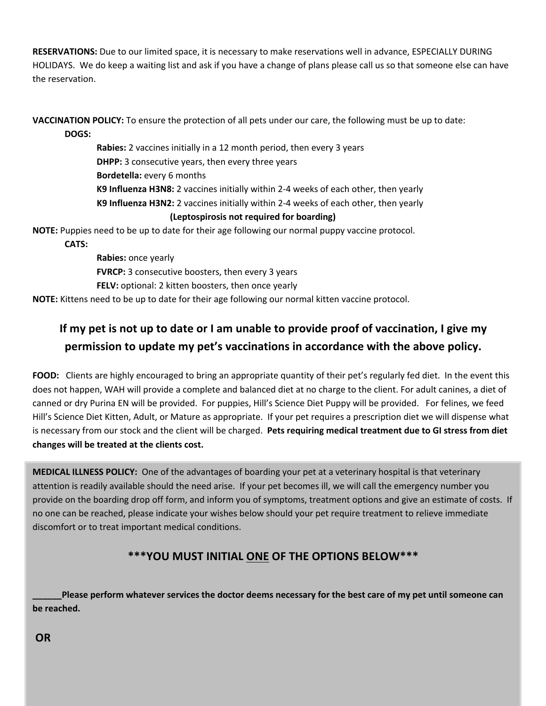**RESERVATIONS:** Due to our limited space, it is necessary to make reservations well in advance, ESPECIALLY DURING HOLIDAYS. We do keep a waiting list and ask if you have a change of plans please call us so that someone else can have the reservation.

**VACCINATION POLICY:** To ensure the protection of all pets under our care, the following must be up to date: **DOGS:**

> **Rabies:** 2 vaccines initially in a 12 month period, then every 3 years **DHPP:** 3 consecutive years, then every three years **Bordetella:** every 6 months **K9 Influenza H3N8:** 2 vaccines initially within 2-4 weeks of each other, then yearly **K9 Influenza H3N2:** 2 vaccines initially within 2-4 weeks of each other, then yearly

#### **(Leptospirosis not required for boarding)**

**NOTE:** Puppies need to be up to date for their age following our normal puppy vaccine protocol.

**CATS:**

**Rabies:** once yearly **FVRCP:** 3 consecutive boosters, then every 3 years **FELV:** optional: 2 kitten boosters, then once yearly **NOTE:** Kittens need to be up to date for their age following our normal kitten vaccine protocol.

# **If my pet is not up to date or I am unable to provide proof of vaccination, I give my permission to update my pet's vaccinations in accordance with the above policy.**

**FOOD:** Clients are highly encouraged to bring an appropriate quantity of their pet's regularly fed diet. In the event this does not happen, WAH will provide a complete and balanced diet at no charge to the client. For adult canines, a diet of canned or dry Purina EN will be provided. For puppies, Hill's Science Diet Puppy will be provided. For felines, we feed Hill's Science Diet Kitten, Adult, or Mature as appropriate. If your pet requires a prescription diet we will dispense what is necessary from our stock and the client will be charged. **Pets requiring medical treatment due to GI stress from diet changes will be treated at the clients cost.**

**MEDICAL ILLNESS POLICY:** One of the advantages of boarding your pet at a veterinary hospital is that veterinary attention is readily available should the need arise. If your pet becomes ill, we will call the emergency number you provide on the boarding drop off form, and inform you of symptoms, treatment options and give an estimate of costs. If no one can be reached, please indicate your wishes below should your pet require treatment to relieve immediate discomfort or to treat important medical conditions.

## **\*\*\*YOU MUST INITIAL ONE OF THE OPTIONS BELOW\*\*\***

Please perform whatever services the doctor deems necessary for the best care of my pet until someone can **be reached.**